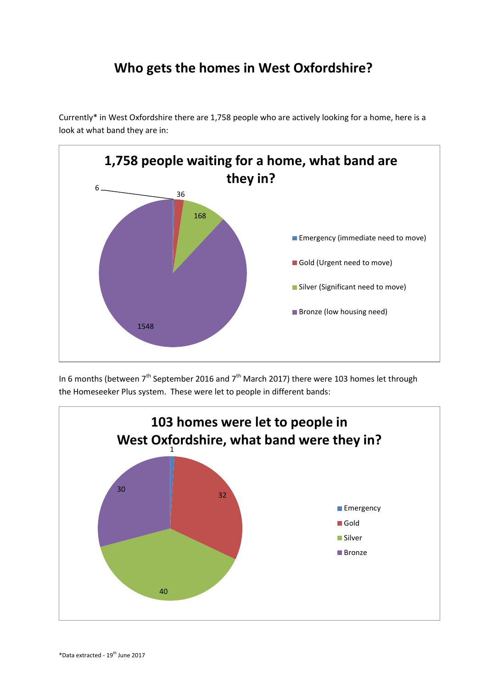## **Who gets the homes in West Oxfordshire?**

Currently\* in West Oxfordshire there are 1,758 people who are actively looking for a home, here is a look at what band they are in:



In 6 months (between  $7<sup>th</sup>$  September 2016 and  $7<sup>th</sup>$  March 2017) there were 103 homes let through the Homeseeker Plus system. These were let to people in different bands: